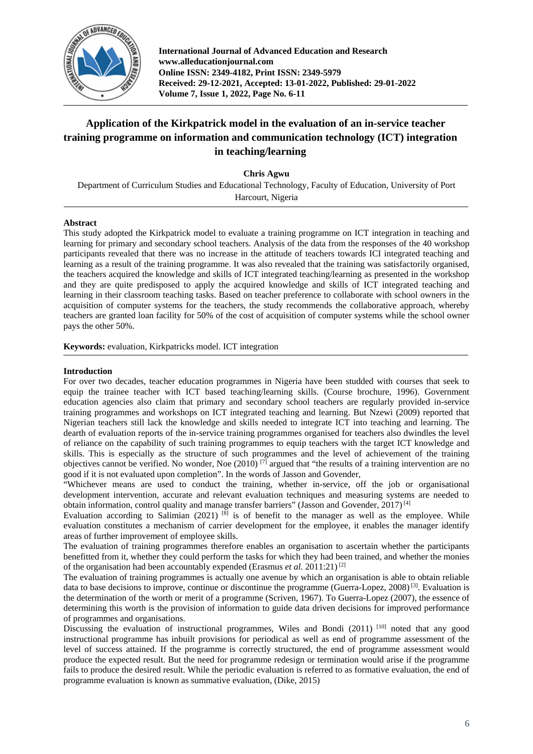

**International Journal of Advanced Education and Research www.alleducationjournal.com Online ISSN: 2349-4182, Print ISSN: 2349-5979 Received: 29-12-2021, Accepted: 13-01-2022, Published: 29-01-2022 Volume 7, Issue 1, 2022, Page No. 6-11**

# **Application of the Kirkpatrick model in the evaluation of an in-service teacher training programme on information and communication technology (ICT) integration in teaching/learning**

**Chris Agwu**

Department of Curriculum Studies and Educational Technology, Faculty of Education, University of Port Harcourt, Nigeria

# **Abstract**

This study adopted the Kirkpatrick model to evaluate a training programme on ICT integration in teaching and learning for primary and secondary school teachers. Analysis of the data from the responses of the 40 workshop participants revealed that there was no increase in the attitude of teachers towards ICI integrated teaching and learning as a result of the training programme. It was also revealed that the training was satisfactorily organised, the teachers acquired the knowledge and skills of ICT integrated teaching/learning as presented in the workshop and they are quite predisposed to apply the acquired knowledge and skills of ICT integrated teaching and learning in their classroom teaching tasks. Based on teacher preference to collaborate with school owners in the acquisition of computer systems for the teachers, the study recommends the collaborative approach, whereby teachers are granted loan facility for 50% of the cost of acquisition of computer systems while the school owner pays the other 50%.

**Keywords:** evaluation, Kirkpatricks model. ICT integration

# **Introduction**

For over two decades, teacher education programmes in Nigeria have been studded with courses that seek to equip the trainee teacher with ICT based teaching/learning skills. (Course brochure, 1996). Government education agencies also claim that primary and secondary school teachers are regularly provided in-service training programmes and workshops on ICT integrated teaching and learning. But Nzewi (2009) reported that Nigerian teachers still lack the knowledge and skills needed to integrate ICT into teaching and learning. The dearth of evaluation reports of the in-service training programmes organised for teachers also dwindles the level of reliance on the capability of such training programmes to equip teachers with the target ICT knowledge and skills. This is especially as the structure of such programmes and the level of achievement of the training objectives cannot be verified. No wonder, Noe  $(2010)^{7}$  argued that "the results of a training intervention are no good if it is not evaluated upon completion". In the words of Jasson and Govender,

"Whichever means are used to conduct the training, whether in-service, off the job or organisational development intervention, accurate and relevant evaluation techniques and measuring systems are needed to obtain information, control quality and manage transfer barriers" (Jasson and Govender,  $2017$ )<sup>[4]</sup>

Evaluation according to Salimian (2021)  $^{[8]}$  is of benefit to the manager as well as the employee. While evaluation constitutes a mechanism of carrier development for the employee, it enables the manager identify areas of further improvement of employee skills.

The evaluation of training programmes therefore enables an organisation to ascertain whether the participants benefitted from it, whether they could perform the tasks for which they had been trained, and whether the monies of the organisation had been accountably expended (Erasmus *et al.* 2011:21)<sup>[2]</sup>

The evaluation of training programmes is actually one avenue by which an organisation is able to obtain reliable data to base decisions to improve, continue or discontinue the programme (Guerra-Lopez, 2008)<sup>[3]</sup>. Evaluation is the determination of the worth or merit of a programme (Scriven, 1967). To Guerra-Lopez (2007), the essence of determining this worth is the provision of information to guide data driven decisions for improved performance of programmes and organisations.

Discussing the evaluation of instructional programmes, Wiles and Bondi (2011)<sup>[10]</sup> noted that any good instructional programme has inbuilt provisions for periodical as well as end of programme assessment of the level of success attained. If the programme is correctly structured, the end of programme assessment would produce the expected result. But the need for programme redesign or termination would arise if the programme fails to produce the desired result. While the periodic evaluation is referred to as formative evaluation, the end of programme evaluation is known as summative evaluation, (Dike, 2015)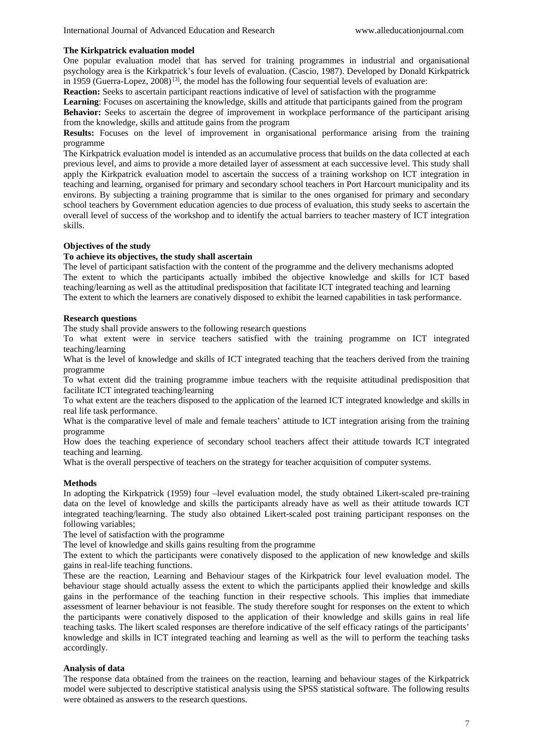# **The Kirkpatrick evaluation model**

One popular evaluation model that has served for training programmes in industrial and organisational psychology area is the Kirkpatrick's four levels of evaluation. (Cascio, 1987). Developed by Donald Kirkpatrick in 1959 (Guerra-Lopez, 2008)<sup>[3]</sup>, the model has the following four sequential levels of evaluation are:

**Reaction:** Seeks to ascertain participant reactions indicative of level of satisfaction with the programme

**Learning**: Focuses on ascertaining the knowledge, skills and attitude that participants gained from the program **Behavior:** Seeks to ascertain the degree of improvement in workplace performance of the participant arising from the knowledge, skills and attitude gains from the program

**Results:** Focuses on the level of improvement in organisational performance arising from the training programme

The Kirkpatrick evaluation model is intended as an accumulative process that builds on the data collected at each previous level, and aims to provide a more detailed layer of assessment at each successive level. This study shall apply the Kirkpatrick evaluation model to ascertain the success of a training workshop on ICT integration in teaching and learning, organised for primary and secondary school teachers in Port Harcourt municipality and its environs. By subjecting a training programme that is similar to the ones organised for primary and secondary school teachers by Government education agencies to due process of evaluation, this study seeks to ascertain the overall level of success of the workshop and to identify the actual barriers to teacher mastery of ICT integration skills.

# **Objectives of the study**

# **To achieve its objectives, the study shall ascertain**

The level of participant satisfaction with the content of the programme and the delivery mechanisms adopted The extent to which the participants actually imbibed the objective knowledge and skills for ICT based teaching/learning as well as the attitudinal predisposition that facilitate ICT integrated teaching and learning The extent to which the learners are conatively disposed to exhibit the learned capabilities in task performance.

# **Research questions**

The study shall provide answers to the following research questions

To what extent were in service teachers satisfied with the training programme on ICT integrated teaching/learning

What is the level of knowledge and skills of ICT integrated teaching that the teachers derived from the training programme

To what extent did the training programme imbue teachers with the requisite attitudinal predisposition that facilitate ICT integrated teaching/learning

To what extent are the teachers disposed to the application of the learned ICT integrated knowledge and skills in real life task performance.

What is the comparative level of male and female teachers' attitude to ICT integration arising from the training programme

How does the teaching experience of secondary school teachers affect their attitude towards ICT integrated teaching and learning.

What is the overall perspective of teachers on the strategy for teacher acquisition of computer systems.

# **Methods**

In adopting the Kirkpatrick (1959) four –level evaluation model, the study obtained Likert-scaled pre-training data on the level of knowledge and skills the participants already have as well as their attitude towards ICT integrated teaching/learning. The study also obtained Likert-scaled post training participant responses on the following variables;

The level of satisfaction with the programme

The level of knowledge and skills gains resulting from the programme

The extent to which the participants were conatively disposed to the application of new knowledge and skills gains in real-life teaching functions.

These are the reaction, Learning and Behaviour stages of the Kirkpatrick four level evaluation model. The behaviour stage should actually assess the extent to which the participants applied their knowledge and skills gains in the performance of the teaching function in their respective schools. This implies that immediate assessment of learner behaviour is not feasible. The study therefore sought for responses on the extent to which the participants were conatively disposed to the application of their knowledge and skills gains in real life teaching tasks. The likert scaled responses are therefore indicative of the self efficacy ratings of the participants' knowledge and skills in ICT integrated teaching and learning as well as the will to perform the teaching tasks accordingly.

# **Analysis of data**

The response data obtained from the trainees on the reaction, learning and behaviour stages of the Kirkpatrick model were subjected to descriptive statistical analysis using the SPSS statistical software. The following results were obtained as answers to the research questions.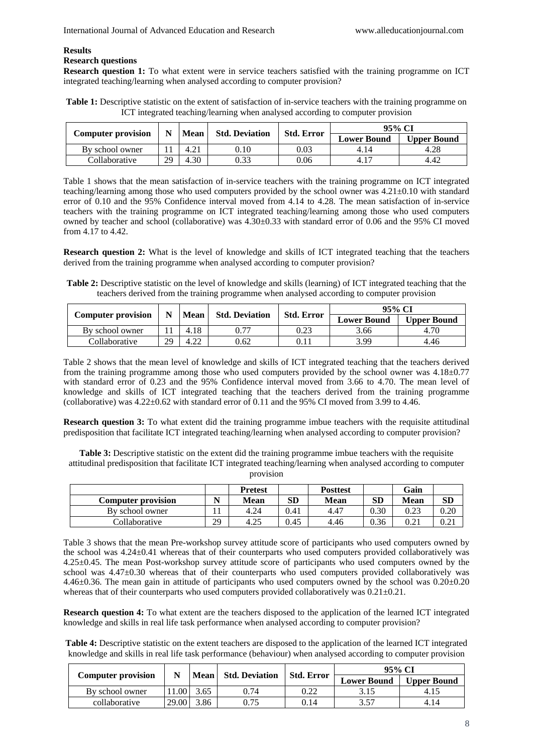# **Results Research questions**

**Research question 1:** To what extent were in service teachers satisfied with the training programme on ICT integrated teaching/learning when analysed according to computer provision?

**Table 1:** Descriptive statistic on the extent of satisfaction of in-service teachers with the training programme on ICT integrated teaching/learning when analysed according to computer provision

| <b>Computer provision</b> |    | <b>Std. Deviation</b> |            |                   |                    | 95% CI             |  |  |
|---------------------------|----|-----------------------|------------|-------------------|--------------------|--------------------|--|--|
|                           |    | <b>Mean</b>           |            | <b>Std. Error</b> | <b>Lower Bound</b> | <b>Upper Bound</b> |  |  |
| By school owner           |    | 4.21                  | $\rm 0.10$ | 0.03              | 4.14               | 4.28               |  |  |
| Collaborative             | 29 | 4.30                  | 0.33       | 0.06              | 4.17               | 4.42               |  |  |

Table 1 shows that the mean satisfaction of in-service teachers with the training programme on ICT integrated teaching/learning among those who used computers provided by the school owner was 4.21±0.10 with standard error of 0.10 and the 95% Confidence interval moved from 4.14 to 4.28. The mean satisfaction of in-service teachers with the training programme on ICT integrated teaching/learning among those who used computers owned by teacher and school (collaborative) was 4.30±0.33 with standard error of 0.06 and the 95% CI moved from 4.17 to 4.42.

**Research question 2:** What is the level of knowledge and skills of ICT integrated teaching that the teachers derived from the training programme when analysed according to computer provision?

**Table 2:** Descriptive statistic on the level of knowledge and skills (learning) of ICT integrated teaching that the teachers derived from the training programme when analysed according to computer provision

| <b>Computer provision</b> | N  | <b>Mean</b> | <b>Std. Deviation</b> | <b>Std. Error</b> | 95% CI             |                    |
|---------------------------|----|-------------|-----------------------|-------------------|--------------------|--------------------|
|                           |    |             |                       |                   | <b>Lower Bound</b> | <b>Upper Bound</b> |
| By school owner           |    | 4.18        | ገ 77                  | 0.23              | 3.66               | 4.70               |
| Collaborative             | 29 | ാറ<br>4.22  | 0.62                  | 0.11              | 3.99               | 4.46               |

Table 2 shows that the mean level of knowledge and skills of ICT integrated teaching that the teachers derived from the training programme among those who used computers provided by the school owner was  $4.18\pm0.77$ with standard error of 0.23 and the 95% Confidence interval moved from 3.66 to 4.70. The mean level of knowledge and skills of ICT integrated teaching that the teachers derived from the training programme (collaborative) was  $4.22 \pm 0.62$  with standard error of 0.11 and the 95% CI moved from 3.99 to 4.46.

**Research question 3:** To what extent did the training programme imbue teachers with the requisite attitudinal predisposition that facilitate ICT integrated teaching/learning when analysed according to computer provision?

**Table 3:** Descriptive statistic on the extent did the training programme imbue teachers with the requisite attitudinal predisposition that facilitate ICT integrated teaching/learning when analysed according to computer provision

|                           |    | <b>Pretest</b> |      | <b>Posttest</b> |      | Gain |          |
|---------------------------|----|----------------|------|-----------------|------|------|----------|
| <b>Computer provision</b> |    | Mean           | SD   | <b>Mean</b>     | SD   | Mean | SD       |
| By school owner           |    | 4.24           | 0.41 | 4.47            | 0.30 | 0.23 | $0.20\,$ |
| Collaborative             | 29 | 4.25           | 0.45 | 4.46            | 0.36 | 0.21 | 0.21     |

Table 3 shows that the mean Pre-workshop survey attitude score of participants who used computers owned by the school was 4.24±0.41 whereas that of their counterparts who used computers provided collaboratively was 4.25±0.45. The mean Post-workshop survey attitude score of participants who used computers owned by the school was 4.47±0.30 whereas that of their counterparts who used computers provided collaboratively was 4.46±0.36. The mean gain in attitude of participants who used computers owned by the school was 0.20±0.20 whereas that of their counterparts who used computers provided collaboratively was  $0.21 \pm 0.21$ .

**Research question 4:** To what extent are the teachers disposed to the application of the learned ICT integrated knowledge and skills in real life task performance when analysed according to computer provision?

**Table 4:** Descriptive statistic on the extent teachers are disposed to the application of the learned ICT integrated knowledge and skills in real life task performance (behaviour) when analysed according to computer provision

|                           |       |      | Mean Std. Deviation | Std. Error | 95% CI             |                    |  |
|---------------------------|-------|------|---------------------|------------|--------------------|--------------------|--|
| <b>Computer provision</b> |       |      |                     |            | <b>Lower Bound</b> | <b>Upper Bound</b> |  |
| By school owner           | 11.00 | 3.65 | 0.74                | 0.22       |                    | 4.15               |  |
| collaborative             | 29.00 | 3.86 | 0.75                | 0.14       | 3.57               | 4.14               |  |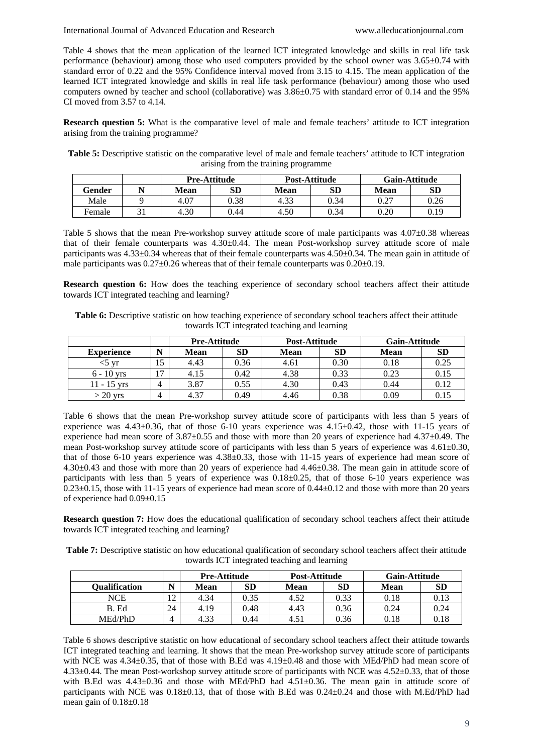International Journal of Advanced Education and Research [www.alleducationjournal.com](http://www.alleducationjournal.com/)

Table 4 shows that the mean application of the learned ICT integrated knowledge and skills in real life task performance (behaviour) among those who used computers provided by the school owner was  $3.65\pm0.74$  with standard error of 0.22 and the 95% Confidence interval moved from 3.15 to 4.15. The mean application of the learned ICT integrated knowledge and skills in real life task performance (behaviour) among those who used computers owned by teacher and school (collaborative) was 3.86±0.75 with standard error of 0.14 and the 95% CI moved from 3.57 to 4.14.

**Research question 5:** What is the comparative level of male and female teachers' attitude to ICT integration arising from the training programme?

**Table 5:** Descriptive statistic on the comparative level of male and female teachers' attitude to ICT integration arising from the training programme

|        |      | <b>Pre-Attitude</b> |      | Post-Attitude | <b>Gain-Attitude</b> |      |  |
|--------|------|---------------------|------|---------------|----------------------|------|--|
| Gender | Mean | SD                  | Mean | SD            | <b>Mean</b>          | SD   |  |
| Male   | 4.07 | 0.38                | 4.33 | 0.34          | 0.27                 | 0.26 |  |
| Female | 4.30 | 0.44                | 4.50 | 0.34          | 0.20                 | 0.19 |  |

Table 5 shows that the mean Pre-workshop survey attitude score of male participants was  $4.07\pm0.38$  whereas that of their female counterparts was 4.30±0.44. The mean Post-workshop survey attitude score of male participants was 4.33±0.34 whereas that of their female counterparts was 4.50±0.34. The mean gain in attitude of male participants was  $0.27\pm0.26$  whereas that of their female counterparts was  $0.20\pm0.19$ .

**Research question 6:** How does the teaching experience of secondary school teachers affect their attitude towards ICT integrated teaching and learning?

**Table 6:** Descriptive statistic on how teaching experience of secondary school teachers affect their attitude towards ICT integrated teaching and learning

|                   |                | <b>Pre-Attitude</b> |           | Post-Attitude |           | <b>Gain-Attitude</b> |           |  |
|-------------------|----------------|---------------------|-----------|---------------|-----------|----------------------|-----------|--|
| <b>Experience</b> | N              | <b>Mean</b>         | <b>SD</b> | <b>Mean</b>   | <b>SD</b> | <b>Mean</b>          | <b>SD</b> |  |
| Vľ                | ιJ             | 4.43                | 0.36      | 4.61          | 0.30      | 0.18                 | 0.25      |  |
| $6 - 10$ vrs      | $\overline{ }$ | 4.15                | 0.42      | 4.38          | 0.33      | 0.23                 | 0.15      |  |
| $11 - 15$ vrs     | 4              | 3.87                | 0.55      | 4.30          | 0.43      | 0.44                 | 0.12      |  |
| $>$ 20 yrs        | 4              | 4.37                | 0.49      | 4.46          | 0.38      | 0.09                 | 0.15      |  |

Table 6 shows that the mean Pre-workshop survey attitude score of participants with less than 5 years of experience was  $4.43\pm0.36$ , that of those 6-10 years experience was  $4.15\pm0.42$ , those with 11-15 years of experience had mean score of  $3.87\pm0.55$  and those with more than 20 years of experience had  $4.37\pm0.49$ . The mean Post-workshop survey attitude score of participants with less than 5 years of experience was  $4.61 \pm 0.30$ , that of those 6-10 years experience was 4.38±0.33, those with 11-15 years of experience had mean score of 4.30±0.43 and those with more than 20 years of experience had 4.46±0.38. The mean gain in attitude score of participants with less than 5 years of experience was 0.18±0.25, that of those 6-10 years experience was 0.23±0.15, those with 11-15 years of experience had mean score of 0.44±0.12 and those with more than 20 years of experience had 0.09±0.15

**Research question 7:** How does the educational qualification of secondary school teachers affect their attitude towards ICT integrated teaching and learning?

**Table 7:** Descriptive statistic on how educational qualification of secondary school teachers affect their attitude towards ICT integrated teaching and learning

|                      |     | <b>Pre-Attitude</b> |           | Post-Attitude |      | <b>Gain-Attitude</b> |           |
|----------------------|-----|---------------------|-----------|---------------|------|----------------------|-----------|
| <b>Oualification</b> | N   | Mean                | <b>SD</b> | Mean          | SD   | <b>Mean</b>          | <b>SD</b> |
| NCE                  | 1 ว | 4.34                | 0.35      | 4.52          | 0.33 | 0.18                 | 0.13      |
| B. Ed                | 24  | 4.19                | 0.48      | 4.43          | 0.36 | 0.24                 | 0.24      |
| MEd/PhD              | 4   | 4.33                | 9.44      | $4.5^{\circ}$ | 0.36 | 0.18                 | 0.18      |

Table 6 shows descriptive statistic on how educational of secondary school teachers affect their attitude towards ICT integrated teaching and learning. It shows that the mean Pre-workshop survey attitude score of participants with NCE was 4.34±0.35, that of those with B.Ed was 4.19±0.48 and those with MEd/PhD had mean score of 4.33±0.44. The mean Post-workshop survey attitude score of participants with NCE was 4.52±0.33, that of those with B.Ed was  $4.43\pm0.36$  and those with MEd/PhD had  $4.51\pm0.36$ . The mean gain in attitude score of participants with NCE was 0.18±0.13, that of those with B.Ed was 0.24±0.24 and those with M.Ed/PhD had mean gain of 0.18±0.18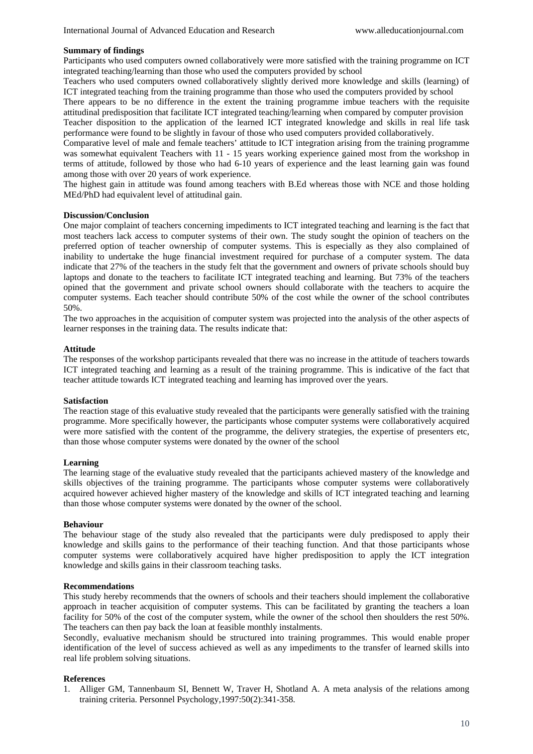# **Summary of findings**

Participants who used computers owned collaboratively were more satisfied with the training programme on ICT integrated teaching/learning than those who used the computers provided by school

Teachers who used computers owned collaboratively slightly derived more knowledge and skills (learning) of ICT integrated teaching from the training programme than those who used the computers provided by school

There appears to be no difference in the extent the training programme imbue teachers with the requisite attitudinal predisposition that facilitate ICT integrated teaching/learning when compared by computer provision

Teacher disposition to the application of the learned ICT integrated knowledge and skills in real life task performance were found to be slightly in favour of those who used computers provided collaboratively.

Comparative level of male and female teachers' attitude to ICT integration arising from the training programme was somewhat equivalent Teachers with 11 - 15 years working experience gained most from the workshop in terms of attitude, followed by those who had 6-10 years of experience and the least learning gain was found among those with over 20 years of work experience.

The highest gain in attitude was found among teachers with B.Ed whereas those with NCE and those holding MEd/PhD had equivalent level of attitudinal gain.

# **Discussion/Conclusion**

One major complaint of teachers concerning impediments to ICT integrated teaching and learning is the fact that most teachers lack access to computer systems of their own. The study sought the opinion of teachers on the preferred option of teacher ownership of computer systems. This is especially as they also complained of inability to undertake the huge financial investment required for purchase of a computer system. The data indicate that 27% of the teachers in the study felt that the government and owners of private schools should buy laptops and donate to the teachers to facilitate ICT integrated teaching and learning. But 73% of the teachers opined that the government and private school owners should collaborate with the teachers to acquire the computer systems. Each teacher should contribute 50% of the cost while the owner of the school contributes 50%.

The two approaches in the acquisition of computer system was projected into the analysis of the other aspects of learner responses in the training data. The results indicate that:

# **Attitude**

The responses of the workshop participants revealed that there was no increase in the attitude of teachers towards ICT integrated teaching and learning as a result of the training programme. This is indicative of the fact that teacher attitude towards ICT integrated teaching and learning has improved over the years.

# **Satisfaction**

The reaction stage of this evaluative study revealed that the participants were generally satisfied with the training programme. More specifically however, the participants whose computer systems were collaboratively acquired were more satisfied with the content of the programme, the delivery strategies, the expertise of presenters etc, than those whose computer systems were donated by the owner of the school

# **Learning**

The learning stage of the evaluative study revealed that the participants achieved mastery of the knowledge and skills objectives of the training programme. The participants whose computer systems were collaboratively acquired however achieved higher mastery of the knowledge and skills of ICT integrated teaching and learning than those whose computer systems were donated by the owner of the school.

# **Behaviour**

The behaviour stage of the study also revealed that the participants were duly predisposed to apply their knowledge and skills gains to the performance of their teaching function. And that those participants whose computer systems were collaboratively acquired have higher predisposition to apply the ICT integration knowledge and skills gains in their classroom teaching tasks.

# **Recommendations**

This study hereby recommends that the owners of schools and their teachers should implement the collaborative approach in teacher acquisition of computer systems. This can be facilitated by granting the teachers a loan facility for 50% of the cost of the computer system, while the owner of the school then shoulders the rest 50%. The teachers can then pay back the loan at feasible monthly instalments.

Secondly, evaluative mechanism should be structured into training programmes. This would enable proper identification of the level of success achieved as well as any impediments to the transfer of learned skills into real life problem solving situations.

# **References**

1. Alliger GM, Tannenbaum SI, Bennett W, Traver H, Shotland A. A meta analysis of the relations among training criteria. Personnel Psychology,1997:50(2):341-358.